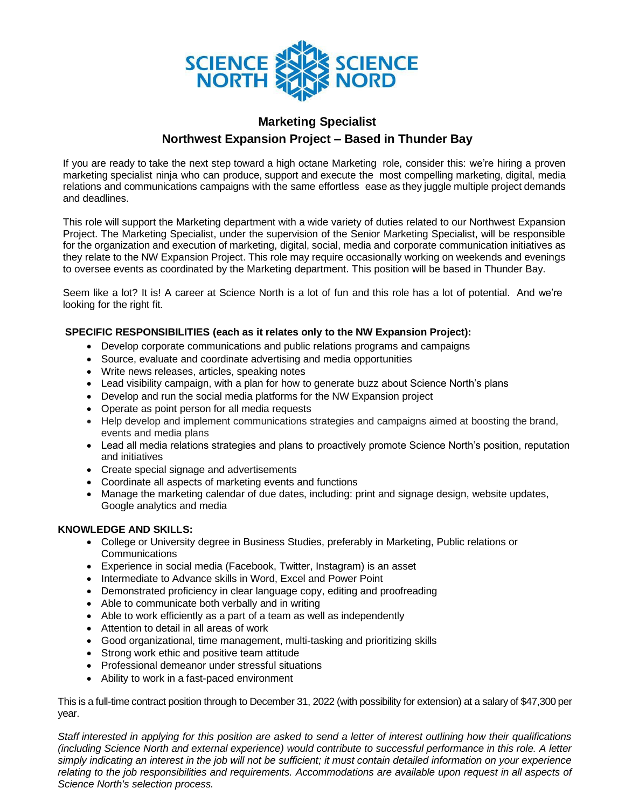

## **Marketing Specialist Northwest Expansion Project – Based in Thunder Bay**

If you are ready to take the next step toward a high octane Marketing role, consider this: we're hiring a proven marketing specialist ninja who can produce, support and execute the most compelling marketing, digital, media relations and communications campaigns with the same effortless ease as they juggle multiple project demands and deadlines.

This role will support the Marketing department with a wide variety of duties related to our Northwest Expansion Project. The Marketing Specialist, under the supervision of the Senior Marketing Specialist, will be responsible for the organization and execution of marketing, digital, social, media and corporate communication initiatives as they relate to the NW Expansion Project. This role may require occasionally working on weekends and evenings to oversee events as coordinated by the Marketing department. This position will be based in Thunder Bay.

Seem like a lot? It is! A career at Science North is a lot of fun and this role has a lot of potential. And we're looking for the right fit.

## **SPECIFIC RESPONSIBILITIES (each as it relates only to the NW Expansion Project):**

- Develop corporate communications and public relations programs and campaigns
- Source, evaluate and coordinate advertising and media opportunities
- Write news releases, articles, speaking notes
- Lead visibility campaign, with a plan for how to generate buzz about Science North's plans
- Develop and run the social media platforms for the NW Expansion project
- Operate as point person for all media requests
- Help develop and implement communications strategies and campaigns aimed at boosting the brand, events and media plans
- Lead all media relations strategies and plans to proactively promote Science North's position, reputation and initiatives
- Create special signage and advertisements
- Coordinate all aspects of marketing events and functions
- Manage the marketing calendar of due dates, including: print and signage design, website updates, Google analytics and media

## **KNOWLEDGE AND SKILLS:**

- College or University degree in Business Studies, preferably in Marketing, Public relations or Communications
- Experience in social media (Facebook, Twitter, Instagram) is an asset
- Intermediate to Advance skills in Word, Excel and Power Point
- Demonstrated proficiency in clear language copy, editing and proofreading
- Able to communicate both verbally and in writing
- Able to work efficiently as a part of a team as well as independently
- Attention to detail in all areas of work
- Good organizational, time management, multi-tasking and prioritizing skills
- Strong work ethic and positive team attitude
- Professional demeanor under stressful situations
- Ability to work in a fast-paced environment

This is a full-time contract position through to December 31, 2022 (with possibility for extension) at a salary of \$47,300 per year.

Staff interested in applying for this position are asked to send a letter of interest outlining how their qualifications (including Science North and external experience) would contribute to successful performance in this role. A letter simply indicating an interest in the job will not be sufficient: it must contain detailed information on your experience relating to the job responsibilities and requirements. Accommodations are available upon request in all aspects of *Science North's selection process.*